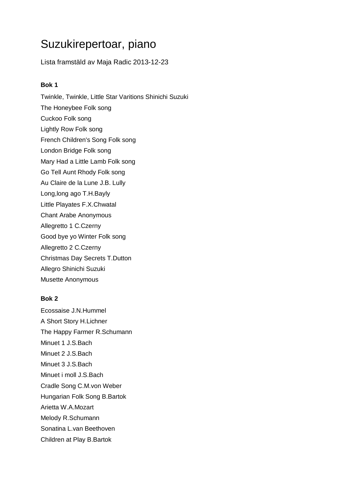# Suzukirepertoar, piano

Lista framstäld av Maja Radic 2013-12-23

#### **Bok 1**

Twinkle, Twinkle, Little Star Varitions Shinichi Suzuki The Honeybee Folk song Cuckoo Folk song Lightly Row Folk song French Children's Song Folk song London Bridge Folk song Mary Had a Little Lamb Folk song Go Tell Aunt Rhody Folk song Au Claire de la Lune J.B. Lully Long,long ago T.H.Bayly Little Playates F.X.Chwatal Chant Arabe Anonymous Allegretto 1 C.Czerny Good bye yo Winter Folk song Allegretto 2 C.Czerny Christmas Day Secrets T.Dutton Allegro Shinichi Suzuki Musette Anonymous

## **Bok 2**

Ecossaise J.N.Hummel A Short Story H.Lichner The Happy Farmer R.Schumann Minuet 1 J.S.Bach Minuet 2 J.S.Bach Minuet 3 J.S.Bach Minuet i moll J.S.Bach Cradle Song C.M.von Weber Hungarian Folk Song B.Bartok Arietta W.A.Mozart Melody R.Schumann Sonatina L.van Beethoven Children at Play B.Bartok